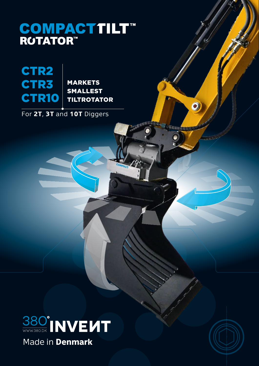# **COMPACTTILT™**<br>ROTATOR™



MARKETS SMALLEST TILTROTATOR

For **2T**, **3T** and **10T** Diggers





 $\bullet$ 

Ο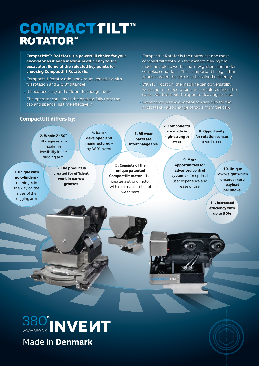# COMPACTTILT™ **ROTATOR™**

**Compacttilt™ Rotators is a powerfull choice for your excavator as it adds maximum efficiency to the excavator. Some of the selected key points for choosing Compacttilt Rotator is:**

- Compacttilt Rotator adds maximum versatility with full rotation and 2x50<sup>°</sup> tiltangel
- It becomes easy and efficient to change tools
- The operator can stay in the operate fully from the cab and spends his time effectively.

• Compacttilt Rotator is the narrowest and most compact tiltrotator on the market. Making the machine able to work in narrow gutters and under complex conditions. This is important in e.g. urban zones or when the task is to be solved efficiently.

- With full rotation, the machine can do versatility work and more operations are completed from the same point without the operator leaving the cab.
- Great safety as the operator can solve by far the most tasks - also change of tools, from the cab.

#### **Compacttilt differs by:**

**1.Unique with no cylinders**  nothing is in the way on the sides of the digging arm

**2. Whole 2×50**0 **tilt degrees -** for maximum feasibility in the

**4. Dansk developed and manufactured**  by 380<sup>o</sup>Invent

**3. The product is created for efficient work in narrow grooves**

**5. Consists of the unique patented Compacttilt motor -** that creates a strong motor with minimal number of wear parts

**6. All wear parts are interchangeable** **7. Components are made in high-strength steel**

**8. Opportunity for rotation sensor on all sizes**

digging arm **9. More opportunities for advanced control systems -** for optimal user experience and ease of use

**10. Unique low weight which ensures more payload per shovel**

**11. Increased efficiency with up to 50%**





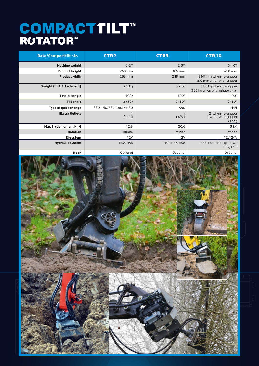# COMPACTTILT™<br>RUTATOR™

| <b>Data/Compacttilt str.</b> | <b>CTR2</b>              | <b>CTR3</b>           | <b>CTR10</b>                                               |
|------------------------------|--------------------------|-----------------------|------------------------------------------------------------|
| <b>Machine weight</b>        | $0-2T$                   | $2-3T$                | $6-10T$                                                    |
| <b>Product height</b>        | 260 mm                   | 305 mm                | 450 mm                                                     |
| <b>Product width</b>         | 253 mm                   | 285 mm                | 390 mm when no gripper<br>490 mm when with gripper         |
| Weight (Incl. Attachment)    | 65 kg                    | 92 kg                 | 280 kg when no gripper<br>320 kg when with gripper. (1/2") |
| <b>Total tiltangle</b>       | 100 <sup>o</sup>         | 100 <sup>o</sup>      | 100 <sup>o</sup>                                           |
| <b>Tilt angle</b>            | $2 \times 50^{\circ}$    | $2 \times 50^{\circ}$ | $2 \times 50^{\circ}$                                      |
| Type of quick change         | S30-150, S30-180, MH30   | S40                   | H45                                                        |
| <b>Ekstra Outlets</b>        | $\overline{1}$<br>(1/4") | (3/8")                | 2 when no gripper<br>1 when with gripper<br>(1/2")         |
| <b>Max Brydemoment KnM</b>   | 12,3                     | 20,6                  | 38,4                                                       |
| <b>Rotation</b>              | Infinite                 | Infinite              | Infinite                                                   |
| El-system                    | <b>12V</b>               | <b>12V</b>            | 12V/24V                                                    |
| <b>Hydraulic system</b>      | HS2, HS6                 | <b>HS4, HS6, HS8</b>  | HS8, HS4-HF (high flow),<br><b>HS4, HS2</b>                |
| Hook                         | Optional                 | Optional              | Optional                                                   |

 $Q_{\text{C}}$